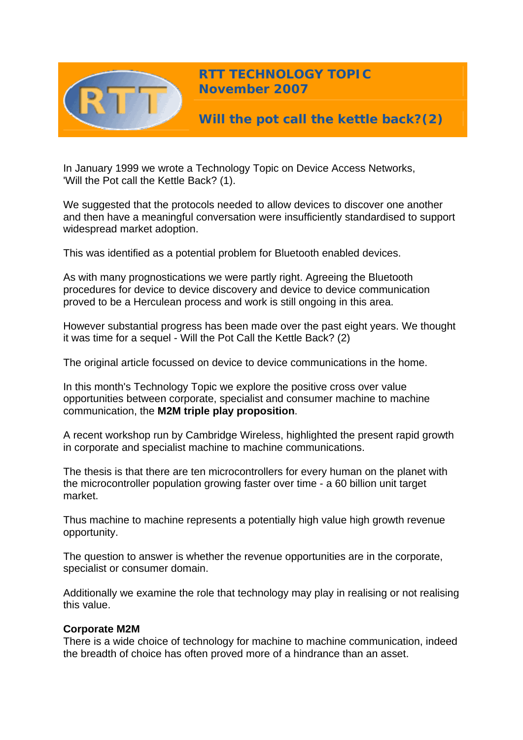

**RTT TECHNOLOGY TOPIC November 2007**

**Will the pot call the kettle back?(2)** 

In January 1999 we wrote a Technology Topic on Device Access Networks, 'Will the Pot call the Kettle Back? (1).

We suggested that the protocols needed to allow devices to discover one another and then have a meaningful conversation were insufficiently standardised to support widespread market adoption.

This was identified as a potential problem for Bluetooth enabled devices.

As with many prognostications we were partly right. Agreeing the Bluetooth procedures for device to device discovery and device to device communication proved to be a Herculean process and work is still ongoing in this area.

However substantial progress has been made over the past eight years. We thought it was time for a sequel - Will the Pot Call the Kettle Back? (2)

The original article focussed on device to device communications in the home.

In this month's Technology Topic we explore the positive cross over value opportunities between corporate, specialist and consumer machine to machine communication, the **M2M triple play proposition**.

A recent workshop run by Cambridge Wireless, highlighted the present rapid growth in corporate and specialist machine to machine communications.

The thesis is that there are ten microcontrollers for every human on the planet with the microcontroller population growing faster over time - a 60 billion unit target market.

Thus machine to machine represents a potentially high value high growth revenue opportunity.

The question to answer is whether the revenue opportunities are in the corporate, specialist or consumer domain.

Additionally we examine the role that technology may play in realising or not realising this value.

# **Corporate M2M**

There is a wide choice of technology for machine to machine communication, indeed the breadth of choice has often proved more of a hindrance than an asset.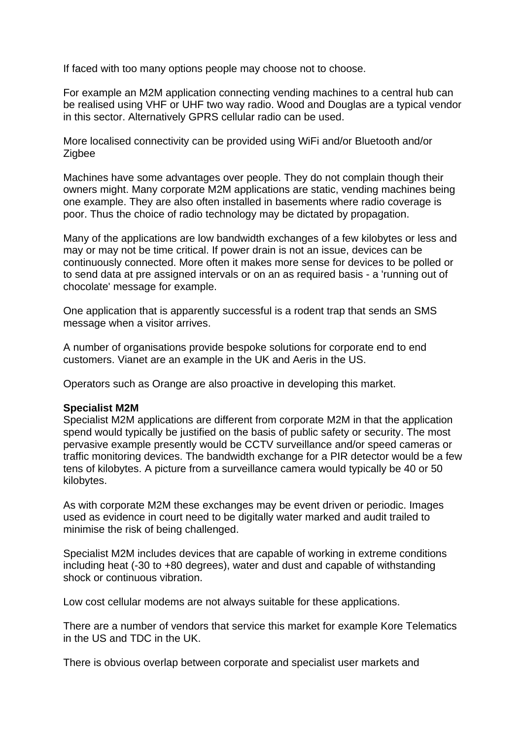If faced with too many options people may choose not to choose.

For example an M2M application connecting vending machines to a central hub can be realised using VHF or UHF two way radio. Wood and Douglas are a typical vendor in this sector. Alternatively GPRS cellular radio can be used.

More localised connectivity can be provided using WiFi and/or Bluetooth and/or Zigbee

Machines have some advantages over people. They do not complain though their owners might. Many corporate M2M applications are static, vending machines being one example. They are also often installed in basements where radio coverage is poor. Thus the choice of radio technology may be dictated by propagation.

Many of the applications are low bandwidth exchanges of a few kilobytes or less and may or may not be time critical. If power drain is not an issue, devices can be continuously connected. More often it makes more sense for devices to be polled or to send data at pre assigned intervals or on an as required basis - a 'running out of chocolate' message for example.

One application that is apparently successful is a rodent trap that sends an SMS message when a visitor arrives.

A number of organisations provide bespoke solutions for corporate end to end customers. Vianet are an example in the UK and Aeris in the US.

Operators such as Orange are also proactive in developing this market.

#### **Specialist M2M**

Specialist M2M applications are different from corporate M2M in that the application spend would typically be justified on the basis of public safety or security. The most pervasive example presently would be CCTV surveillance and/or speed cameras or traffic monitoring devices. The bandwidth exchange for a PIR detector would be a few tens of kilobytes. A picture from a surveillance camera would typically be 40 or 50 kilobytes.

As with corporate M2M these exchanges may be event driven or periodic. Images used as evidence in court need to be digitally water marked and audit trailed to minimise the risk of being challenged.

Specialist M2M includes devices that are capable of working in extreme conditions including heat (-30 to +80 degrees), water and dust and capable of withstanding shock or continuous vibration.

Low cost cellular modems are not always suitable for these applications.

There are a number of vendors that service this market for example Kore Telematics in the US and TDC in the UK.

There is obvious overlap between corporate and specialist user markets and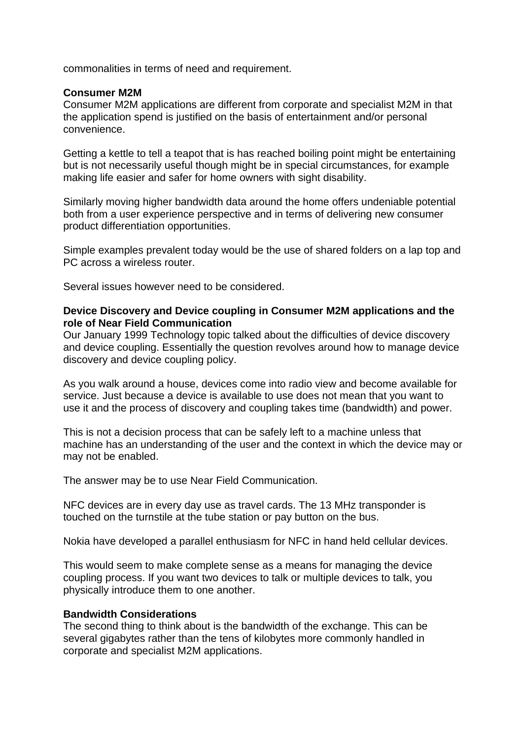commonalities in terms of need and requirement.

## **Consumer M2M**

Consumer M2M applications are different from corporate and specialist M2M in that the application spend is justified on the basis of entertainment and/or personal convenience.

Getting a kettle to tell a teapot that is has reached boiling point might be entertaining but is not necessarily useful though might be in special circumstances, for example making life easier and safer for home owners with sight disability.

Similarly moving higher bandwidth data around the home offers undeniable potential both from a user experience perspective and in terms of delivering new consumer product differentiation opportunities.

Simple examples prevalent today would be the use of shared folders on a lap top and PC across a wireless router.

Several issues however need to be considered.

### **Device Discovery and Device coupling in Consumer M2M applications and the role of Near Field Communication**

Our January 1999 Technology topic talked about the difficulties of device discovery and device coupling. Essentially the question revolves around how to manage device discovery and device coupling policy.

As you walk around a house, devices come into radio view and become available for service. Just because a device is available to use does not mean that you want to use it and the process of discovery and coupling takes time (bandwidth) and power.

This is not a decision process that can be safely left to a machine unless that machine has an understanding of the user and the context in which the device may or may not be enabled.

The answer may be to use Near Field Communication.

NFC devices are in every day use as travel cards. The 13 MHz transponder is touched on the turnstile at the tube station or pay button on the bus.

Nokia have developed a parallel enthusiasm for NFC in hand held cellular devices.

This would seem to make complete sense as a means for managing the device coupling process. If you want two devices to talk or multiple devices to talk, you physically introduce them to one another.

#### **Bandwidth Considerations**

The second thing to think about is the bandwidth of the exchange. This can be several gigabytes rather than the tens of kilobytes more commonly handled in corporate and specialist M2M applications.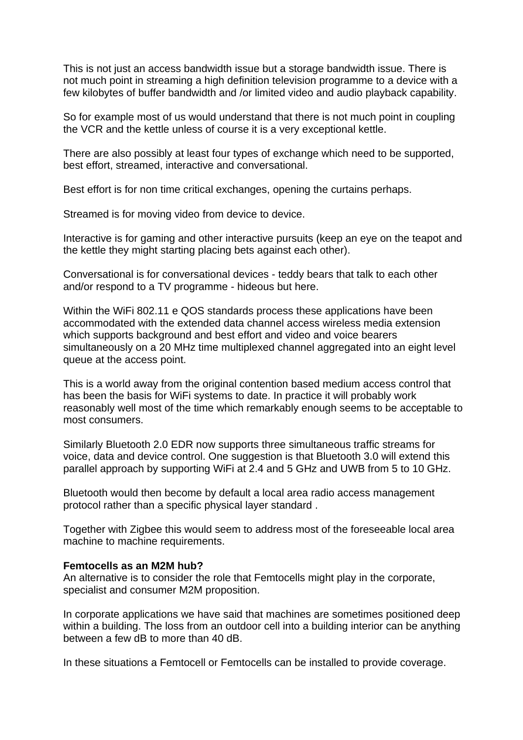This is not just an access bandwidth issue but a storage bandwidth issue. There is not much point in streaming a high definition television programme to a device with a few kilobytes of buffer bandwidth and /or limited video and audio playback capability.

So for example most of us would understand that there is not much point in coupling the VCR and the kettle unless of course it is a very exceptional kettle.

There are also possibly at least four types of exchange which need to be supported, best effort, streamed, interactive and conversational.

Best effort is for non time critical exchanges, opening the curtains perhaps.

Streamed is for moving video from device to device.

Interactive is for gaming and other interactive pursuits (keep an eye on the teapot and the kettle they might starting placing bets against each other).

Conversational is for conversational devices - teddy bears that talk to each other and/or respond to a TV programme - hideous but here.

Within the WiFi 802.11 e QOS standards process these applications have been accommodated with the extended data channel access wireless media extension which supports background and best effort and video and voice bearers simultaneously on a 20 MHz time multiplexed channel aggregated into an eight level queue at the access point.

This is a world away from the original contention based medium access control that has been the basis for WiFi systems to date. In practice it will probably work reasonably well most of the time which remarkably enough seems to be acceptable to most consumers.

Similarly Bluetooth 2.0 EDR now supports three simultaneous traffic streams for voice, data and device control. One suggestion is that Bluetooth 3.0 will extend this parallel approach by supporting WiFi at 2.4 and 5 GHz and UWB from 5 to 10 GHz.

Bluetooth would then become by default a local area radio access management protocol rather than a specific physical layer standard .

Together with Zigbee this would seem to address most of the foreseeable local area machine to machine requirements.

#### **Femtocells as an M2M hub?**

An alternative is to consider the role that Femtocells might play in the corporate, specialist and consumer M2M proposition.

In corporate applications we have said that machines are sometimes positioned deep within a building. The loss from an outdoor cell into a building interior can be anything between a few dB to more than 40 dB.

In these situations a Femtocell or Femtocells can be installed to provide coverage.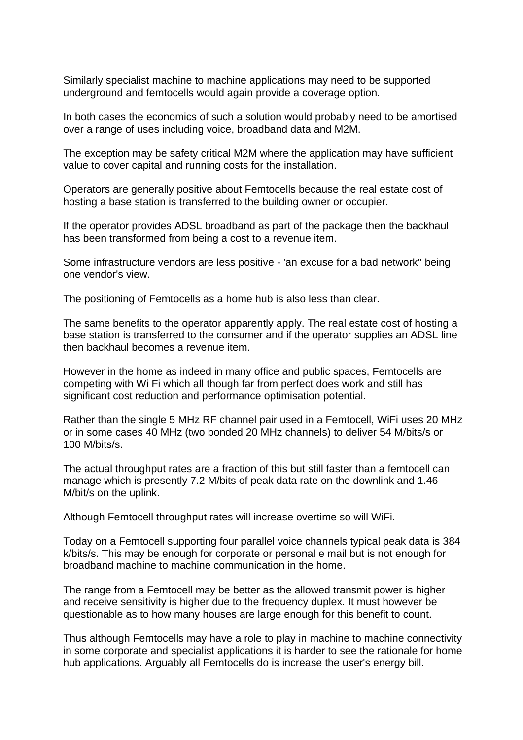Similarly specialist machine to machine applications may need to be supported underground and femtocells would again provide a coverage option.

In both cases the economics of such a solution would probably need to be amortised over a range of uses including voice, broadband data and M2M.

The exception may be safety critical M2M where the application may have sufficient value to cover capital and running costs for the installation.

Operators are generally positive about Femtocells because the real estate cost of hosting a base station is transferred to the building owner or occupier.

If the operator provides ADSL broadband as part of the package then the backhaul has been transformed from being a cost to a revenue item.

Some infrastructure vendors are less positive - 'an excuse for a bad network'' being one vendor's view.

The positioning of Femtocells as a home hub is also less than clear.

The same benefits to the operator apparently apply. The real estate cost of hosting a base station is transferred to the consumer and if the operator supplies an ADSL line then backhaul becomes a revenue item.

However in the home as indeed in many office and public spaces, Femtocells are competing with Wi Fi which all though far from perfect does work and still has significant cost reduction and performance optimisation potential.

Rather than the single 5 MHz RF channel pair used in a Femtocell, WiFi uses 20 MHz or in some cases 40 MHz (two bonded 20 MHz channels) to deliver 54 M/bits/s or 100 M/bits/s.

The actual throughput rates are a fraction of this but still faster than a femtocell can manage which is presently 7.2 M/bits of peak data rate on the downlink and 1.46 M/bit/s on the uplink.

Although Femtocell throughput rates will increase overtime so will WiFi.

Today on a Femtocell supporting four parallel voice channels typical peak data is 384 k/bits/s. This may be enough for corporate or personal e mail but is not enough for broadband machine to machine communication in the home.

The range from a Femtocell may be better as the allowed transmit power is higher and receive sensitivity is higher due to the frequency duplex. It must however be questionable as to how many houses are large enough for this benefit to count.

Thus although Femtocells may have a role to play in machine to machine connectivity in some corporate and specialist applications it is harder to see the rationale for home hub applications. Arguably all Femtocells do is increase the user's energy bill.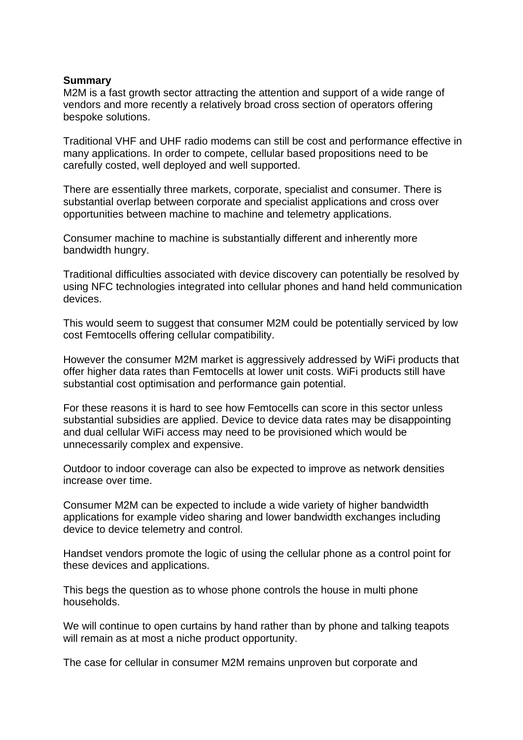#### **Summary**

M2M is a fast growth sector attracting the attention and support of a wide range of vendors and more recently a relatively broad cross section of operators offering bespoke solutions.

Traditional VHF and UHF radio modems can still be cost and performance effective in many applications. In order to compete, cellular based propositions need to be carefully costed, well deployed and well supported.

There are essentially three markets, corporate, specialist and consumer. There is substantial overlap between corporate and specialist applications and cross over opportunities between machine to machine and telemetry applications.

Consumer machine to machine is substantially different and inherently more bandwidth hungry.

Traditional difficulties associated with device discovery can potentially be resolved by using NFC technologies integrated into cellular phones and hand held communication devices.

This would seem to suggest that consumer M2M could be potentially serviced by low cost Femtocells offering cellular compatibility.

However the consumer M2M market is aggressively addressed by WiFi products that offer higher data rates than Femtocells at lower unit costs. WiFi products still have substantial cost optimisation and performance gain potential.

For these reasons it is hard to see how Femtocells can score in this sector unless substantial subsidies are applied. Device to device data rates may be disappointing and dual cellular WiFi access may need to be provisioned which would be unnecessarily complex and expensive.

Outdoor to indoor coverage can also be expected to improve as network densities increase over time.

Consumer M2M can be expected to include a wide variety of higher bandwidth applications for example video sharing and lower bandwidth exchanges including device to device telemetry and control.

Handset vendors promote the logic of using the cellular phone as a control point for these devices and applications.

This begs the question as to whose phone controls the house in multi phone households.

We will continue to open curtains by hand rather than by phone and talking teapots will remain as at most a niche product opportunity.

The case for cellular in consumer M2M remains unproven but corporate and